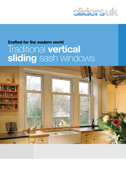

## Crafted for the modern world Traditional **vertical sliding** sash windows

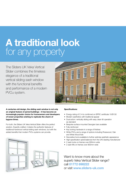# **A traditional look**  for any property

The Sliders UK Veka Vertical Slider combines the timeless elegance of a traditional vertical sliding sash window with the functional benefits and performance of a modern PVCu system.



**A centuries-old design, the sliding sash window is not only an original feature of period buildings – it has become an increasingly popular choice for homeowners and developers of newer properties wishing to replicate the charm of bygone times.** 

For both, the Sliders UK Veka Vertical Slider offers the perfect solution. Expertly crafted, it retains the authentic features of traditional hardwood vertical sliding sash windows, but with the added benefits that modern PVCu systems can provide.



### **Specifications:**

- Energy rating of C-A is confirmed on BFRC certificate 10/B130
- Modern aesthetics with traditional appeal
- Dual action: vertically sliding with easy clean tilt operation as standard
- Bespoke surface mounted Georgian bars available
- Fully reinforced
- Key locking hardware in a range of finishes
- White PVCu and a range of options including Rosewood, Oak and White Wood foils
- Decorative horns available to further optimise aesthetic appearance
- High specification spiral balances from the UK's leading manufacturer
- 2 sash locks on frames over 800mm wide
- 2 sash lifts on frames over 800mm wide

Want to know more about the superb Veka Vertical Slider range? call **01772 698222** or visit **www.sliders-uk.com**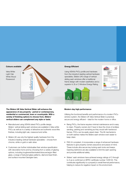#### **Colours available**

Veka White Light Oak White Wood Rosewood



#### **Energy Efficient**

Using VEKA's PVCu profile and hardware from the industry's leading vertical hardware specialists, Sliders UK's range of vertical sliding sash windows offer a traditional frame design with modern aesthetics and a superior A, B or C Window Energy Rating.





**The Sliders UK Veka Vertical Slider will enhance the appearance of any property - period or contemporary, residential or commercial, town or countryside. With a variety of finishing options to choose from, Sliders' vertical sliders can complement any style or taste.**

- Manufactured using VEKA's latest PVCu profile design, Sliders' vertical sliding sash windows are available in Veka white PVCu as well as in a variety of attractive and authentic wood-like finishes, including light oak, rosewood and white.
- Sliders UK use only the highest quality hardware from the industry's leading vertical hardware specialists – choose from chrome, white or gold or satin silver.
- Customers can further individualise their window specification with decorative horns and by choosing from a variety of glazing options, including toughened/laminated/obscure/argon filled glass, a range of textured glass patterns, diamond lead finish, and surface mounted Georgian bars.

#### **Modern day high performance**

Utilising the functional benefits and performance of a modern PVCu window system, the Sliders UK Veka Vertical Slider is practical, secure and energy efficient – ideal for the modern home or office.

- Being PVCu, the frame requires minimal maintenance and is easy to clean. Property owners don't have to face the chore of endless sanding, painting and varnishing as they would with hardwood frames. PVCu can be easily wiped clean. The tilt mechanisms on both sashes makes the Sliders sash window even easier to keep clean.
- PAS 24 compliant, it incorporates a range of enhanced hardware features to give property owners assurance and peace of mind. These include ultra secure key locking sash locks and keeps. Opening restrictors are also available to limit the sash opening and provide additional safety.
- Sliders' sash windows have achieved energy ratings of C through to A as is confirmed on BFRC certificate number 10/B130. This contributes significantly to a property's overall thermal performance, helping to reduce its negative impact on the environment.